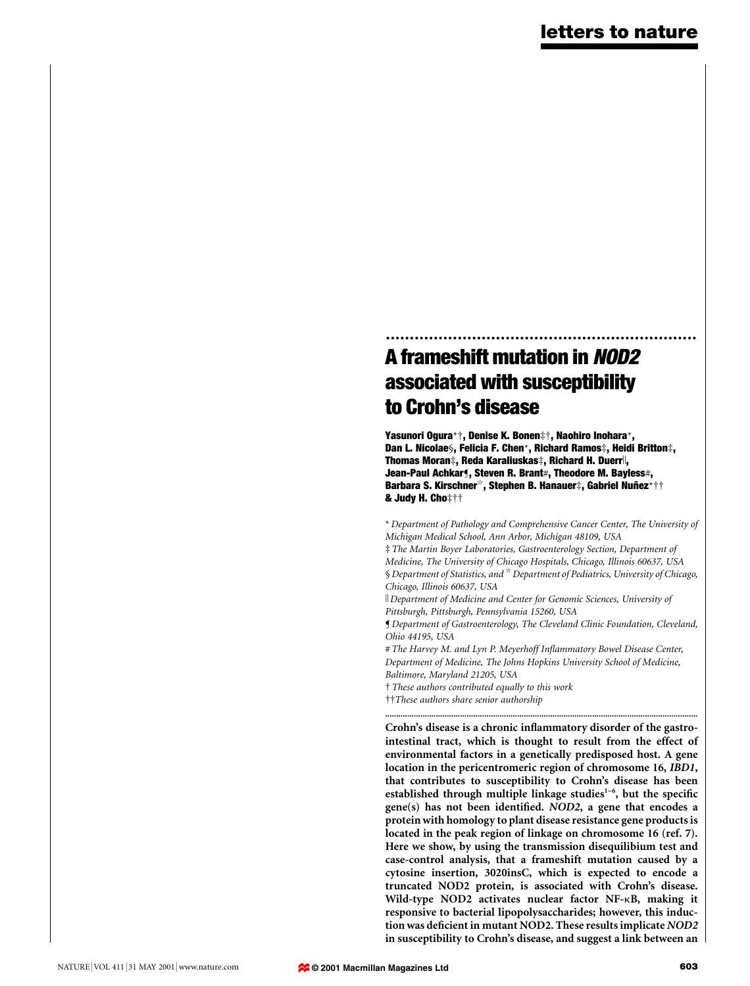# ................................................................. A frameshift mutation in NOD2 associated with susceptibility to Crohn's disease

Yasunori Ogura\*†, Denise K. Bonen‡†, Naohiro Inohara\*, Dan L. Nicolae§, Felicia F. Chen\*, Richard Ramos‡, Heidi Britton‡, Thomas Moran‡, Reda Karaliuskas‡, Richard H. Duerr<sup>||</sup>, Jean-Paul Achkarf, Steven R. Brant#, Theodore M. Bayless#, Barbara S. Kirschner<sup>\*</sup>, Stephen B. Hanauer‡, Gabriel Nuñez\*†† & Judy H. Choࠠ

\* Department of Pathology and Comprehensive Cancer Center, The University of Michigan Medical School, Ann Arbor, Michigan 48109, USA ³ The Martin Boyer Laboratories, Gastroenterology Section, Department of Medicine, The University of Chicago Hospitals, Chicago, Illinois 60637, USA § Department of Statistics, and  $\alpha$  Department of Pediatrics, University of Chicago, Chicago, Illinois 60637, USA

k Department of Medicine and Center for Genomic Sciences, University of Pittsburgh, Pittsburgh, Pennsylvania 15260, USA

¶ Department of Gastroenterology, The Cleveland Clinic Foundation, Cleveland, Ohio 44195, USA

# The Harvey M. and Lyn P. Meyerhoff Inflammatory Bowel Disease Center, Department of Medicine, The Johns Hopkins University School of Medicine, Baltimore, Maryland 21205, USA

² These authors contributed equally to this work

<sup>††</sup>These authors share senior authorship

.............................................................................................................................................. Crohn's disease is a chronic inflammatory disorder of the gastrointestinal tract, which is thought to result from the effect of environmental factors in a genetically predisposed host. A gene location in the pericentromeric region of chromosome 16, IBD1, that contributes to susceptibility to Crohn's disease has been established through multiple linkage studies<sup>1-6</sup>, but the specific  $gene(s)$  has not been identified. NOD2, a gene that encodes a protein with homology to plant disease resistance gene products is located in the peak region of linkage on chromosome 16 (ref. 7). Here we show, by using the transmission disequilibium test and case-control analysis, that a frameshift mutation caused by a cytosine insertion, 3020insC, which is expected to encode a truncated NOD2 protein, is associated with Crohn's disease. Wild-type NOD2 activates nuclear factor NF-kB, making it responsive to bacterial lipopolysaccharides; however, this induction was deficient in mutant NOD2. These results implicate NOD2 in susceptibility to Crohn's disease, and suggest a link between an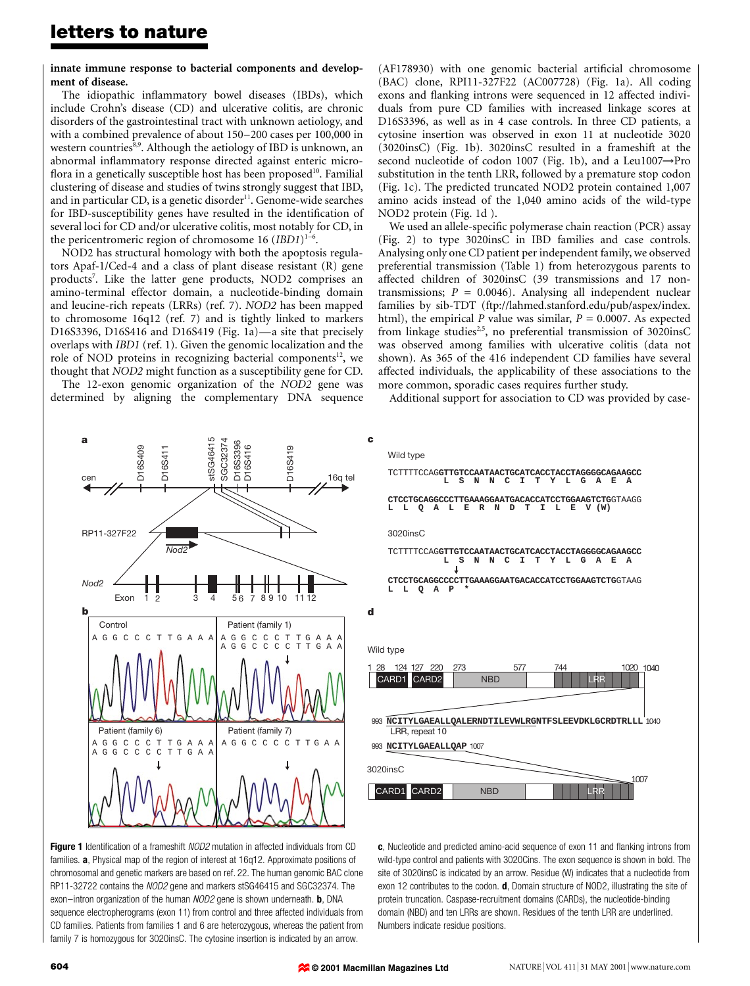innate immune response to bacterial components and development of disease.

The idiopathic inflammatory bowel diseases (IBDs), which include Crohn's disease (CD) and ulcerative colitis, are chronic disorders of the gastrointestinal tract with unknown aetiology, and with a combined prevalence of about 150–200 cases per 100,000 in western countries<sup>8,9</sup>. Although the aetiology of IBD is unknown, an abnormal inflammatory response directed against enteric microflora in a genetically susceptible host has been proposed $^{10}$ . Familial clustering of disease and studies of twins strongly suggest that IBD, and in particular CD, is a genetic disorder $11$ . Genome-wide searches for IBD-susceptibility genes have resulted in the identification of several loci for CD and/or ulcerative colitis, most notably for CD, in the pericentromeric region of chromosome 16  $(IBD1)^{1-6}$ .

NOD2 has structural homology with both the apoptosis regulators Apaf-1/Ced-4 and a class of plant disease resistant (R) gene products<sup>7</sup>. Like the latter gene products, NOD2 comprises an amino-terminal effector domain, a nucleotide-binding domain and leucine-rich repeats (LRRs) (ref. 7). NOD2 has been mapped to chromosome 16q12 (ref. 7) and is tightly linked to markers D16S3396, D16S416 and D16S419 (Fig. 1a) $-$ a site that precisely overlaps with IBD1 (ref. 1). Given the genomic localization and the role of NOD proteins in recognizing bacterial components $12$ , we thought that NOD2 might function as a susceptibility gene for CD.

The 12-exon genomic organization of the NOD2 gene was determined by aligning the complementary DNA sequence  $(AF178930)$  with one genomic bacterial artificial chromosome (BAC) clone, RPI11-327F22 (AC007728) (Fig. 1a). All coding exons and flanking introns were sequenced in 12 affected individuals from pure CD families with increased linkage scores at D16S3396, as well as in 4 case controls. In three CD patients, a cytosine insertion was observed in exon 11 at nucleotide 3020 (3020insC) (Fig. 1b). 3020insC resulted in a frameshift at the second nucleotide of codon 1007 (Fig. 1b), and a Leu1007 $\rightarrow$ Pro substitution in the tenth LRR, followed by a premature stop codon (Fig. 1c). The predicted truncated NOD2 protein contained 1,007 amino acids instead of the 1,040 amino acids of the wild-type NOD2 protein (Fig. 1d ).

We used an allele-specific polymerase chain reaction (PCR) assay (Fig. 2) to type 3020insC in IBD families and case controls. Analysing only one CD patient per independent family, we observed preferential transmission (Table 1) from heterozygous parents to affected children of 3020insC (39 transmissions and 17 nontransmissions;  $P = 0.0046$ ). Analysing all independent nuclear families by sib-TDT (ftp://lahmed.stanford.edu/pub/aspex/index. html), the empirical P value was similar,  $P = 0.0007$ . As expected from linkage studies<sup>2,5</sup>, no preferential transmission of 3020insC was observed among families with ulcerative colitis (data not shown). As 365 of the 416 independent CD families have several affected individuals, the applicability of these associations to the more common, sporadic cases requires further study.

Additional support for association to CD was provided by case-



Figure 1 Identification of a frameshift NOD2 mutation in affected individuals from CD families. a, Physical map of the region of interest at 16q12. Approximate positions of chromosomal and genetic markers are based on ref. 22. The human genomic BAC clone RP11-32722 contains the NOD2 gene and markers stSG46415 and SGC32374. The exon-intron organization of the human NOD2 gene is shown underneath. **b**, DNA sequence electropherograms (exon 11) from control and three affected individuals from CD families. Patients from families 1 and 6 are heterozygous, whereas the patient from family 7 is homozygous for 3020insC. The cytosine insertion is indicated by an arrow.

c, Nucleotide and predicted amino-acid sequence of exon 11 and flanking introns from wild-type control and patients with 3020Cins. The exon sequence is shown in bold. The site of 3020insC is indicated by an arrow. Residue (W) indicates that a nucleotide from exon 12 contributes to the codon. **d**, Domain structure of NOD2, illustrating the site of protein truncation. Caspase-recruitment domains (CARDs), the nucleotide-binding domain (NBD) and ten LRRs are shown. Residues of the tenth LRR are underlined. Numbers indicate residue positions.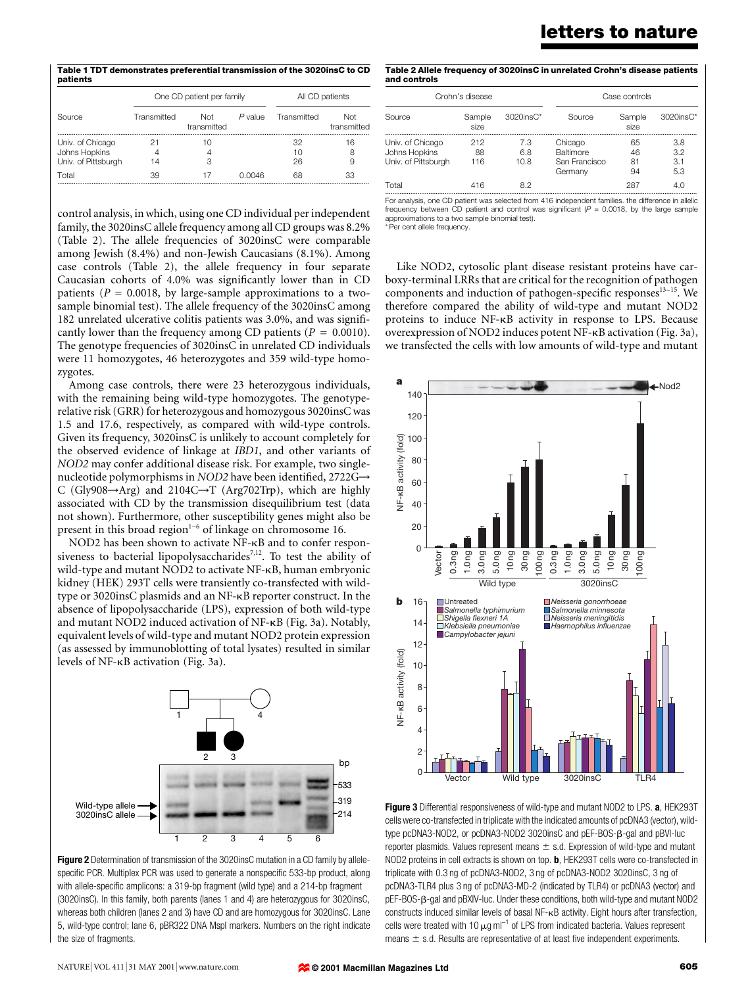Table 1 TDT demonstrates preferential transmission of the 3020insC to CD patients

|                                                          | One CD patient per family |                    |           | All CD patients |                    |
|----------------------------------------------------------|---------------------------|--------------------|-----------|-----------------|--------------------|
| Source                                                   | Transmitted               | Not<br>transmitted | $P$ value | Transmitted     | Not<br>transmitted |
| Univ. of Chicago<br>Johns Hopkins<br>Univ. of Pittsburgh | 4<br>14                   | З                  |           | 32<br>10<br>26  | 16<br>8<br>9       |
| T∩tal                                                    | 39                        |                    | N 0046    | 68              | 33                 |

control analysis, in which, using one CD individual per independent family, the 3020insC allele frequency among all CD groups was 8.2% (Table 2). The allele frequencies of 3020insC were comparable among Jewish (8.4%) and non-Jewish Caucasians (8.1%). Among case controls (Table 2), the allele frequency in four separate Caucasian cohorts of 4.0% was significantly lower than in CD patients ( $P = 0.0018$ , by large-sample approximations to a twosample binomial test). The allele frequency of the 3020insC among 182 unrelated ulcerative colitis patients was 3.0%, and was significantly lower than the frequency among CD patients ( $P = 0.0010$ ). The genotype frequencies of 3020insC in unrelated CD individuals were 11 homozygotes, 46 heterozygotes and 359 wild-type homozygotes.

Among case controls, there were 23 heterozygous individuals, with the remaining being wild-type homozygotes. The genotyperelative risk (GRR) for heterozygous and homozygous 3020insC was 1.5 and 17.6, respectively, as compared with wild-type controls. Given its frequency, 3020insC is unlikely to account completely for the observed evidence of linkage at IBD1, and other variants of NOD2 may confer additional disease risk. For example, two singlenucleotide polymorphisms in NOD2 have been identified, 2722G $\rightarrow$ C (Gly908 $\rightarrow$ Arg) and 2104C $\rightarrow$ T (Arg702Trp), which are highly associated with CD by the transmission disequilibrium test (data not shown). Furthermore, other susceptibility genes might also be present in this broad region $1-6$  of linkage on chromosome 16.

NOD2 has been shown to activate NF-kB and to confer responsiveness to bacterial lipopolysaccharides<sup>7,12</sup>. To test the ability of wild-type and mutant NOD2 to activate NF-kB, human embryonic kidney (HEK) 293T cells were transiently co-transfected with wildtype or 3020insC plasmids and an NF-kB reporter construct. In the absence of lipopolysaccharide (LPS), expression of both wild-type and mutant NOD2 induced activation of NF-kB (Fig. 3a). Notably, equivalent levels of wild-type and mutant NOD2 protein expression (as assessed by immunoblotting of total lysates) resulted in similar levels of NF-kB activation (Fig. 3a).



Figure 2 Determination of transmission of the 3020insC mutation in a CD family by allelespecific PCR. Multiplex PCR was used to generate a nonspecific 533-bp product, along with allele-specific amplicons: a 319-bp fragment (wild type) and a 214-bp fragment (3020insC). In this family, both parents (lanes 1 and 4) are heterozygous for 3020insC, whereas both children (lanes 2 and 3) have CD and are homozygous for 3020insC. Lane 5, wild-type control; lane 6, pBR322 DNA MspI markers. Numbers on the right indicate the size of fragments.

| Table 2 Allele frequency of 3020insC in unrelated Crohn's disease patients |
|----------------------------------------------------------------------------|
| and controls                                                               |

| Crohn's disease                                          |                  | Case controls      |                                                         |                      |                          |
|----------------------------------------------------------|------------------|--------------------|---------------------------------------------------------|----------------------|--------------------------|
| Source                                                   | Sample<br>size   | $3020$ ins $C^*$   | Source                                                  | Sample<br>size       | $3020$ ins $C^*$         |
| Univ. of Chicago<br>Johns Hopkins<br>Univ. of Pittsburgh | 212<br>88<br>116 | 7.3<br>6.8<br>10.8 | Chicago<br><b>Baltimore</b><br>San Francisco<br>Germany | 65<br>46<br>81<br>94 | 3.8<br>3.2<br>3.1<br>5.3 |
| Total                                                    | 416              | 82                 |                                                         | 287                  | 4 N                      |

............................................................................................................................................................................. For analysis, one CD patient was selected from 416 independent families. the difference in allelic frequency between CD patient and control was significant ( $P = 0.0018$ , by the large sample approximations to a two sample binomial test). \* Per cent allele frequency.

Like NOD2, cytosolic plant disease resistant proteins have carboxy-terminal LRRs that are critical for the recognition of pathogen components and induction of pathogen-specific responses<sup>13-15</sup>. We therefore compared the ability of wild-type and mutant NOD2 proteins to induce NF-kB activity in response to LPS. Because overexpression of NOD2 induces potent NF-kB activation (Fig. 3a), we transfected the cells with low amounts of wild-type and mutant